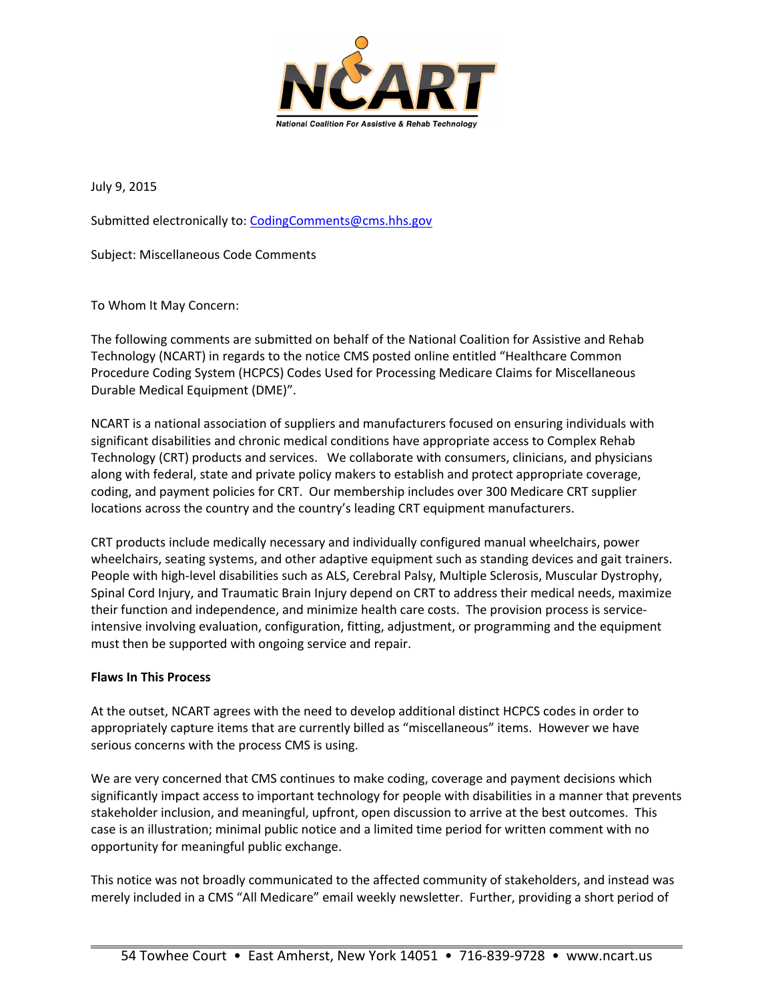

July 9, 2015

Submitted electronically to: CodingComments@cms.hhs.gov

Subject: Miscellaneous Code Comments

To Whom It May Concern:

The following comments are submitted on behalf of the National Coalition for Assistive and Rehab Technology (NCART) in regards to the notice CMS posted online entitled "Healthcare Common Procedure Coding System (HCPCS) Codes Used for Processing Medicare Claims for Miscellaneous Durable Medical Equipment (DME)".

NCART is a national association of suppliers and manufacturers focused on ensuring individuals with significant disabilities and chronic medical conditions have appropriate access to Complex Rehab Technology (CRT) products and services. We collaborate with consumers, clinicians, and physicians along with federal, state and private policy makers to establish and protect appropriate coverage, coding, and payment policies for CRT. Our membership includes over 300 Medicare CRT supplier locations across the country and the country's leading CRT equipment manufacturers.

CRT products include medically necessary and individually configured manual wheelchairs, power wheelchairs, seating systems, and other adaptive equipment such as standing devices and gait trainers. People with high-level disabilities such as ALS, Cerebral Palsy, Multiple Sclerosis, Muscular Dystrophy, Spinal Cord Injury, and Traumatic Brain Injury depend on CRT to address their medical needs, maximize their function and independence, and minimize health care costs. The provision process is service‐ intensive involving evaluation, configuration, fitting, adjustment, or programming and the equipment must then be supported with ongoing service and repair.

## **Flaws In This Process**

 $\overline{a}$ 

At the outset, NCART agrees with the need to develop additional distinct HCPCS codes in order to appropriately capture items that are currently billed as "miscellaneous" items. However we have serious concerns with the process CMS is using.

We are very concerned that CMS continues to make coding, coverage and payment decisions which significantly impact access to important technology for people with disabilities in a manner that prevents stakeholder inclusion, and meaningful, upfront, open discussion to arrive at the best outcomes. This case is an illustration; minimal public notice and a limited time period for written comment with no opportunity for meaningful public exchange.

This notice was not broadly communicated to the affected community of stakeholders, and instead was merely included in a CMS "All Medicare" email weekly newsletter. Further, providing a short period of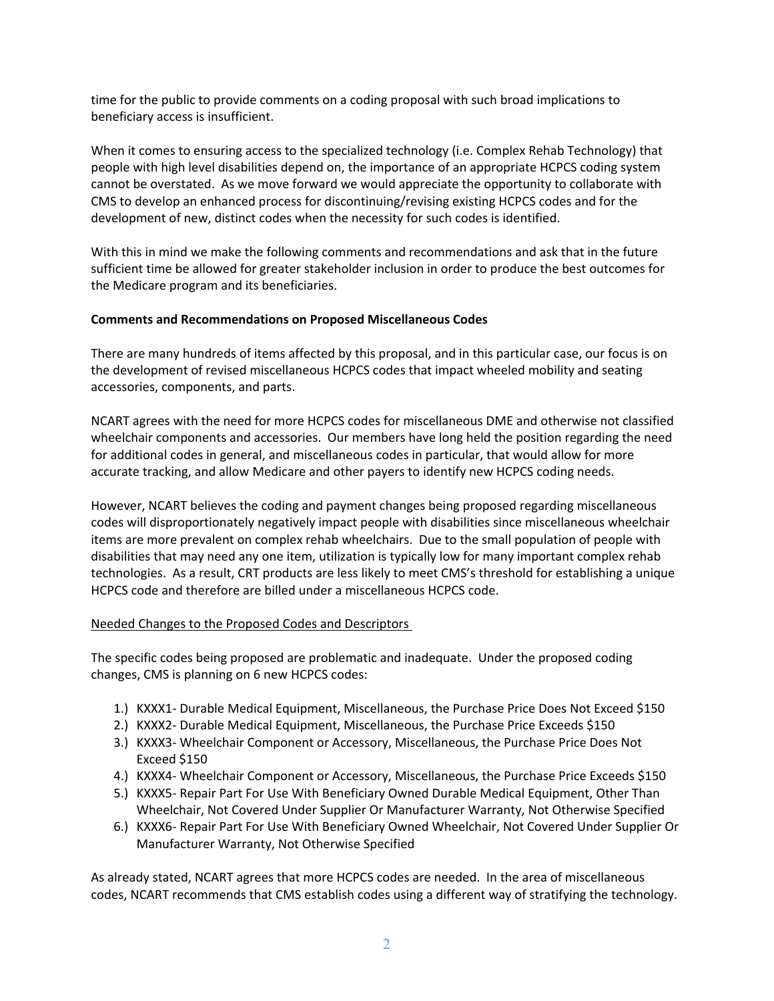time for the public to provide comments on a coding proposal with such broad implications to beneficiary access is insufficient.

When it comes to ensuring access to the specialized technology (i.e. Complex Rehab Technology) that people with high level disabilities depend on, the importance of an appropriate HCPCS coding system cannot be overstated. As we move forward we would appreciate the opportunity to collaborate with CMS to develop an enhanced process for discontinuing/revising existing HCPCS codes and for the development of new, distinct codes when the necessity for such codes is identified.

With this in mind we make the following comments and recommendations and ask that in the future sufficient time be allowed for greater stakeholder inclusion in order to produce the best outcomes for the Medicare program and its beneficiaries.

# **Comments and Recommendations on Proposed Miscellaneous Codes**

There are many hundreds of items affected by this proposal, and in this particular case, our focus is on the development of revised miscellaneous HCPCS codes that impact wheeled mobility and seating accessories, components, and parts.

NCART agrees with the need for more HCPCS codes for miscellaneous DME and otherwise not classified wheelchair components and accessories. Our members have long held the position regarding the need for additional codes in general, and miscellaneous codes in particular, that would allow for more accurate tracking, and allow Medicare and other payers to identify new HCPCS coding needs.

However, NCART believes the coding and payment changes being proposed regarding miscellaneous codes will disproportionately negatively impact people with disabilities since miscellaneous wheelchair items are more prevalent on complex rehab wheelchairs. Due to the small population of people with disabilities that may need any one item, utilization is typically low for many important complex rehab technologies. As a result, CRT products are less likely to meet CMS's threshold for establishing a unique HCPCS code and therefore are billed under a miscellaneous HCPCS code.

## Needed Changes to the Proposed Codes and Descriptors

The specific codes being proposed are problematic and inadequate. Under the proposed coding changes, CMS is planning on 6 new HCPCS codes:

- 1.) KXXX1- Durable Medical Equipment, Miscellaneous, the Purchase Price Does Not Exceed \$150
- 2.) KXXX2‐ Durable Medical Equipment, Miscellaneous, the Purchase Price Exceeds \$150
- 3.) KXXX3‐ Wheelchair Component or Accessory, Miscellaneous, the Purchase Price Does Not Exceed \$150
- 4.) KXXX4‐ Wheelchair Component or Accessory, Miscellaneous, the Purchase Price Exceeds \$150
- 5.) KXXX5- Repair Part For Use With Beneficiary Owned Durable Medical Equipment, Other Than Wheelchair, Not Covered Under Supplier Or Manufacturer Warranty, Not Otherwise Specified
- 6.) KXXX6‐ Repair Part For Use With Beneficiary Owned Wheelchair, Not Covered Under Supplier Or Manufacturer Warranty, Not Otherwise Specified

As already stated, NCART agrees that more HCPCS codes are needed. In the area of miscellaneous codes, NCART recommends that CMS establish codes using a different way of stratifying the technology.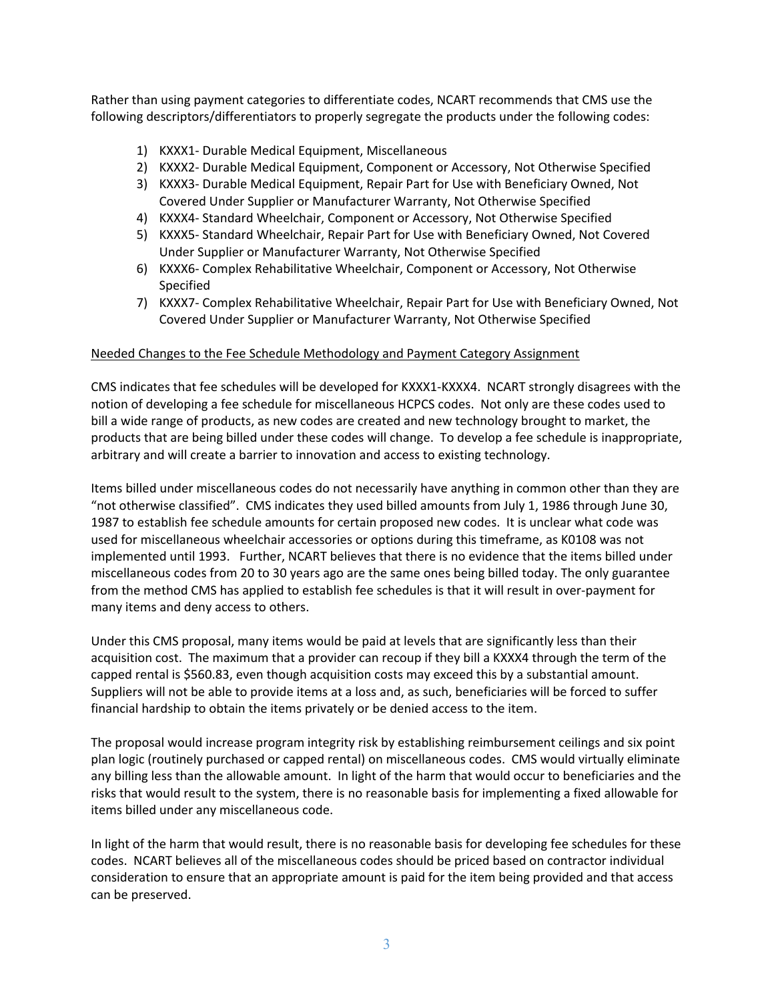Rather than using payment categories to differentiate codes, NCART recommends that CMS use the following descriptors/differentiators to properly segregate the products under the following codes:

- 1) KXXX1‐ Durable Medical Equipment, Miscellaneous
- 2) KXXX2‐ Durable Medical Equipment, Component or Accessory, Not Otherwise Specified
- 3) KXXX3‐ Durable Medical Equipment, Repair Part for Use with Beneficiary Owned, Not Covered Under Supplier or Manufacturer Warranty, Not Otherwise Specified
- 4) KXXX4‐ Standard Wheelchair, Component or Accessory, Not Otherwise Specified
- 5) KXXX5‐ Standard Wheelchair, Repair Part for Use with Beneficiary Owned, Not Covered Under Supplier or Manufacturer Warranty, Not Otherwise Specified
- 6) KXXX6‐ Complex Rehabilitative Wheelchair, Component or Accessory, Not Otherwise Specified
- 7) KXXX7‐ Complex Rehabilitative Wheelchair, Repair Part for Use with Beneficiary Owned, Not Covered Under Supplier or Manufacturer Warranty, Not Otherwise Specified

## Needed Changes to the Fee Schedule Methodology and Payment Category Assignment

CMS indicates that fee schedules will be developed for KXXX1‐KXXX4. NCART strongly disagrees with the notion of developing a fee schedule for miscellaneous HCPCS codes. Not only are these codes used to bill a wide range of products, as new codes are created and new technology brought to market, the products that are being billed under these codes will change. To develop a fee schedule is inappropriate, arbitrary and will create a barrier to innovation and access to existing technology.

Items billed under miscellaneous codes do not necessarily have anything in common other than they are "not otherwise classified". CMS indicates they used billed amounts from July 1, 1986 through June 30, 1987 to establish fee schedule amounts for certain proposed new codes. It is unclear what code was used for miscellaneous wheelchair accessories or options during this timeframe, as K0108 was not implemented until 1993. Further, NCART believes that there is no evidence that the items billed under miscellaneous codes from 20 to 30 years ago are the same ones being billed today. The only guarantee from the method CMS has applied to establish fee schedules is that it will result in over‐payment for many items and deny access to others.

Under this CMS proposal, many items would be paid at levels that are significantly less than their acquisition cost. The maximum that a provider can recoup if they bill a KXXX4 through the term of the capped rental is \$560.83, even though acquisition costs may exceed this by a substantial amount. Suppliers will not be able to provide items at a loss and, as such, beneficiaries will be forced to suffer financial hardship to obtain the items privately or be denied access to the item.

The proposal would increase program integrity risk by establishing reimbursement ceilings and six point plan logic (routinely purchased or capped rental) on miscellaneous codes. CMS would virtually eliminate any billing less than the allowable amount. In light of the harm that would occur to beneficiaries and the risks that would result to the system, there is no reasonable basis for implementing a fixed allowable for items billed under any miscellaneous code.

In light of the harm that would result, there is no reasonable basis for developing fee schedules for these codes. NCART believes all of the miscellaneous codes should be priced based on contractor individual consideration to ensure that an appropriate amount is paid for the item being provided and that access can be preserved.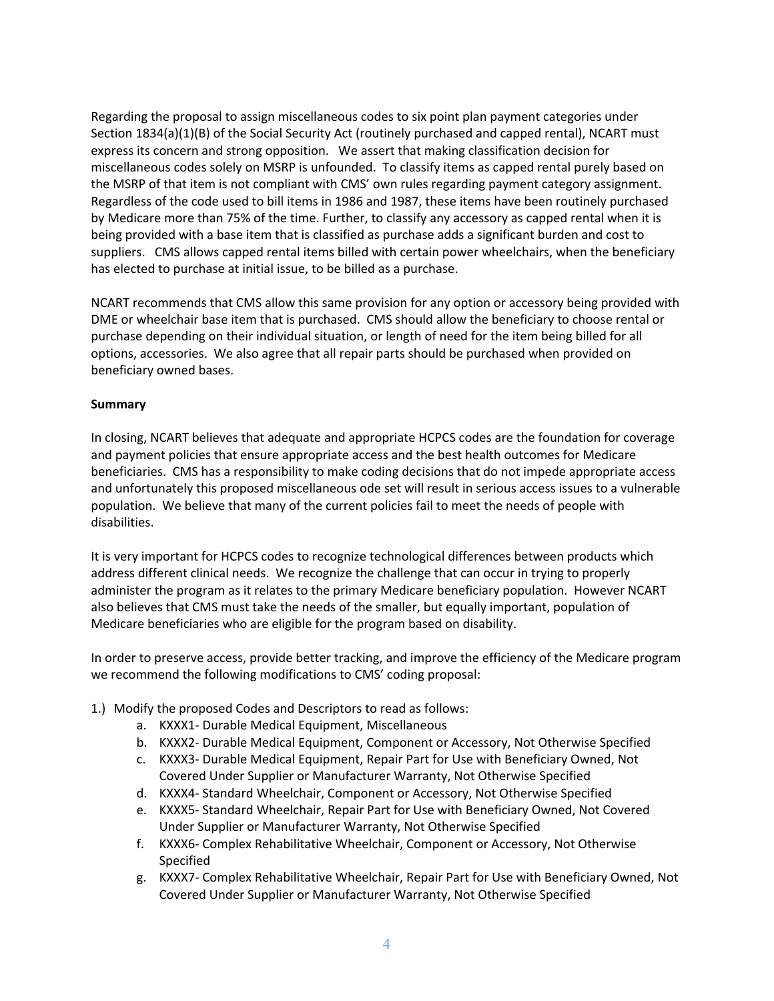Regarding the proposal to assign miscellaneous codes to six point plan payment categories under Section 1834(a)(1)(B) of the Social Security Act (routinely purchased and capped rental), NCART must express its concern and strong opposition. We assert that making classification decision for miscellaneous codes solely on MSRP is unfounded. To classify items as capped rental purely based on the MSRP of that item is not compliant with CMS' own rules regarding payment category assignment. Regardless of the code used to bill items in 1986 and 1987, these items have been routinely purchased by Medicare more than 75% of the time. Further, to classify any accessory as capped rental when it is being provided with a base item that is classified as purchase adds a significant burden and cost to suppliers. CMS allows capped rental items billed with certain power wheelchairs, when the beneficiary has elected to purchase at initial issue, to be billed as a purchase.

NCART recommends that CMS allow this same provision for any option or accessory being provided with DME or wheelchair base item that is purchased. CMS should allow the beneficiary to choose rental or purchase depending on their individual situation, or length of need for the item being billed for all options, accessories. We also agree that all repair parts should be purchased when provided on beneficiary owned bases.

## **Summary**

In closing, NCART believes that adequate and appropriate HCPCS codes are the foundation for coverage and payment policies that ensure appropriate access and the best health outcomes for Medicare beneficiaries. CMS has a responsibility to make coding decisions that do not impede appropriate access and unfortunately this proposed miscellaneous ode set will result in serious access issues to a vulnerable population. We believe that many of the current policies fail to meet the needs of people with disabilities.

It is very important for HCPCS codes to recognize technological differences between products which address different clinical needs. We recognize the challenge that can occur in trying to properly administer the program as it relates to the primary Medicare beneficiary population. However NCART also believes that CMS must take the needs of the smaller, but equally important, population of Medicare beneficiaries who are eligible for the program based on disability.

In order to preserve access, provide better tracking, and improve the efficiency of the Medicare program we recommend the following modifications to CMS' coding proposal:

- 1.) Modify the proposed Codes and Descriptors to read as follows:
	- a. KXXX1‐ Durable Medical Equipment, Miscellaneous
	- b. KXXX2‐ Durable Medical Equipment, Component or Accessory, Not Otherwise Specified
	- c. KXXX3‐ Durable Medical Equipment, Repair Part for Use with Beneficiary Owned, Not Covered Under Supplier or Manufacturer Warranty, Not Otherwise Specified
	- d. KXXX4‐ Standard Wheelchair, Component or Accessory, Not Otherwise Specified
	- e. KXXX5‐ Standard Wheelchair, Repair Part for Use with Beneficiary Owned, Not Covered Under Supplier or Manufacturer Warranty, Not Otherwise Specified
	- f. KXXX6‐ Complex Rehabilitative Wheelchair, Component or Accessory, Not Otherwise Specified
	- g. KXXX7‐ Complex Rehabilitative Wheelchair, Repair Part for Use with Beneficiary Owned, Not Covered Under Supplier or Manufacturer Warranty, Not Otherwise Specified